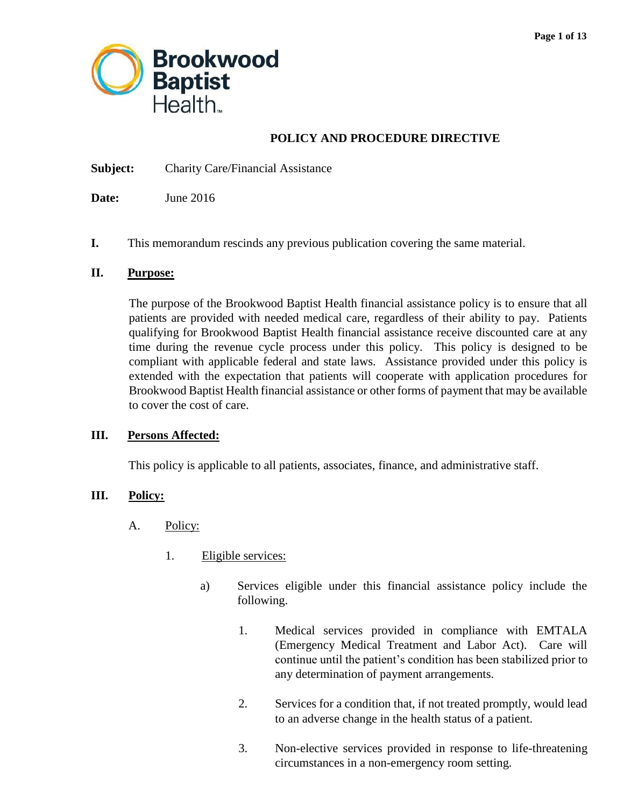

## **POLICY AND PROCEDURE DIRECTIVE**

**Subject:** Charity Care/Financial Assistance

**Date:** June 2016

**I.** This memorandum rescinds any previous publication covering the same material.

#### **II. Purpose:**

 The purpose of the Brookwood Baptist Health financial assistance policy is to ensure that all patients are provided with needed medical care, regardless of their ability to pay. Patients qualifying for Brookwood Baptist Health financial assistance receive discounted care at any time during the revenue cycle process under this policy. This policy is designed to be compliant with applicable federal and state laws. Assistance provided under this policy is extended with the expectation that patients will cooperate with application procedures for Brookwood Baptist Health financial assistance or other forms of payment that may be available to cover the cost of care.

#### **III. Persons Affected:**

This policy is applicable to all patients, associates, finance, and administrative staff.

#### **III. Policy:**

- A. Policy:
	- 1. Eligible services:
		- a) Services eligible under this financial assistance policy include the following.
			- (Emergency Medical Treatment and Labor Act). Care will 1. Medical services provided in compliance with EMTALA continue until the patient's condition has been stabilized prior to any determination of payment arrangements.
			- 2. Services for a condition that, if not treated promptly, would lead to an adverse change in the health status of a patient.
			- 3. Non-elective services provided in response to life-threatening circumstances in a non-emergency room setting.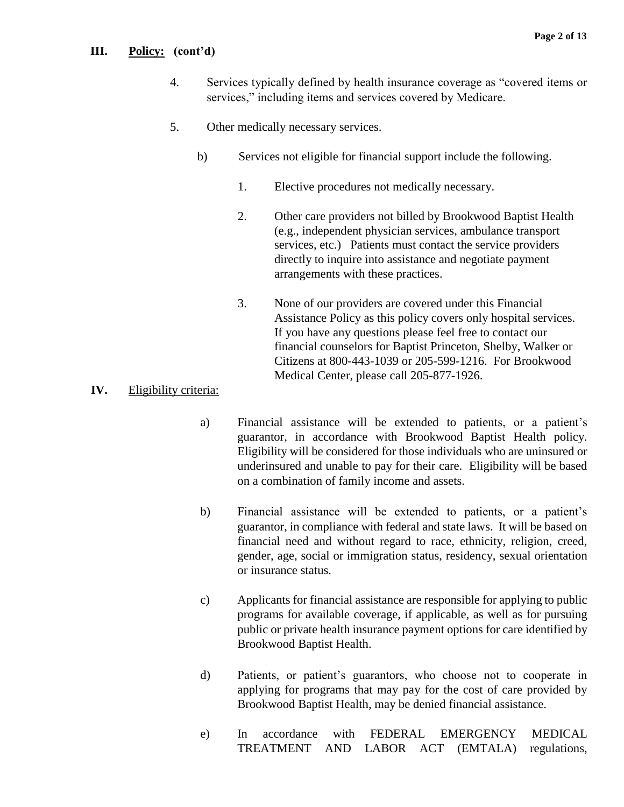#### **III. Policy: (cont'd)**

- 4. Services typically defined by health insurance coverage as "covered items or services," including items and services covered by Medicare.
- 5. Other medically necessary services.
	- b) Services not eligible for financial support include the following.
		- 1. Elective procedures not medically necessary.
		- 2. Other care providers not billed by Brookwood Baptist Health (e.g., independent physician services, ambulance transport services, etc.) Patients must contact the service providers directly to inquire into assistance and negotiate payment arrangements with these practices.
		- If you have any questions please feel free to contact our 3. None of our providers are covered under this Financial Assistance Policy as this policy covers only hospital services. financial counselors for Baptist Princeton, Shelby, Walker or Citizens at 800-443-1039 or 205-599-1216. For Brookwood Medical Center, please call 205-877-1926.

## **IV.** Eligibility criteria:

- a) Financial assistance will be extended to patients, or a patient's Eligibility will be considered for those individuals who are uninsured or underinsured and unable to pay for their care. Eligibility will be based guarantor, in accordance with Brookwood Baptist Health policy. on a combination of family income and assets.
- b) Financial assistance will be extended to patients, or a patient's guarantor, in compliance with federal and state laws. It will be based on financial need and without regard to race, ethnicity, religion, creed, gender, age, social or immigration status, residency, sexual orientation or insurance status.
- c) Applicants for financial assistance are responsible for applying to public programs for available coverage, if applicable, as well as for pursuing public or private health insurance payment options for care identified by Brookwood Baptist Health.
- applying for programs that may pay for the cost of care provided by d) Patients, or patient's guarantors, who choose not to cooperate in Brookwood Baptist Health, may be denied financial assistance.
- accordance e) In accordance with FEDERAL EMERGENCY MEDICAL TREATMENT AND LABOR ACT (EMTALA) regulations,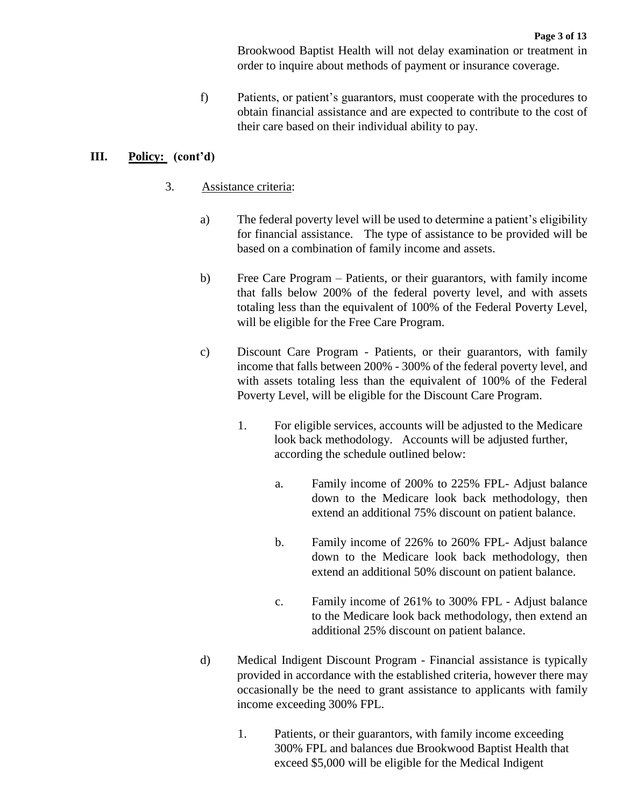Brookwood Baptist Health will not delay examination or treatment in order to inquire about methods of payment or insurance coverage.

 obtain financial assistance and are expected to contribute to the cost of f) Patients, or patient's guarantors, must cooperate with the procedures to their care based on their individual ability to pay.

## **III. Policy: (cont'd)**

- 3. Assistance criteria:
	- a) The federal poverty level will be used to determine a patient's eligibility for financial assistance. The type of assistance to be provided will be based on a combination of family income and assets.
	- b) Free Care Program Patients, or their guarantors, with family income that falls below 200% of the federal poverty level, and with assets totaling less than the equivalent of 100% of the Federal Poverty Level, will be eligible for the Free Care Program.
	- c) Discount Care Program Patients, or their guarantors, with family income that falls between 200% - 300% of the federal poverty level, and with assets totaling less than the equivalent of 100% of the Federal Poverty Level, will be eligible for the Discount Care Program.
		- 1. For eligible services, accounts will be adjusted to the Medicare look back methodology. Accounts will be adjusted further, according the schedule outlined below:
			- a. Family income of 200% to 225% FPL- Adjust balance down to the Medicare look back methodology, then extend an additional 75% discount on patient balance.
			- b. Family income of 226% to 260% FPL- Adjust balance down to the Medicare look back methodology, then extend an additional 50% discount on patient balance.
			- c. Family income of 261% to 300% FPL Adjust balance to the Medicare look back methodology, then extend an additional 25% discount on patient balance.
	- d) Medical Indigent Discount Program Financial assistance is typically provided in accordance with the established criteria, however there may occasionally be the need to grant assistance to applicants with family income exceeding 300% FPL.
		- 1. Patients, or their guarantors, with family income exceeding 300% FPL and balances due Brookwood Baptist Health that exceed \$5,000 will be eligible for the Medical Indigent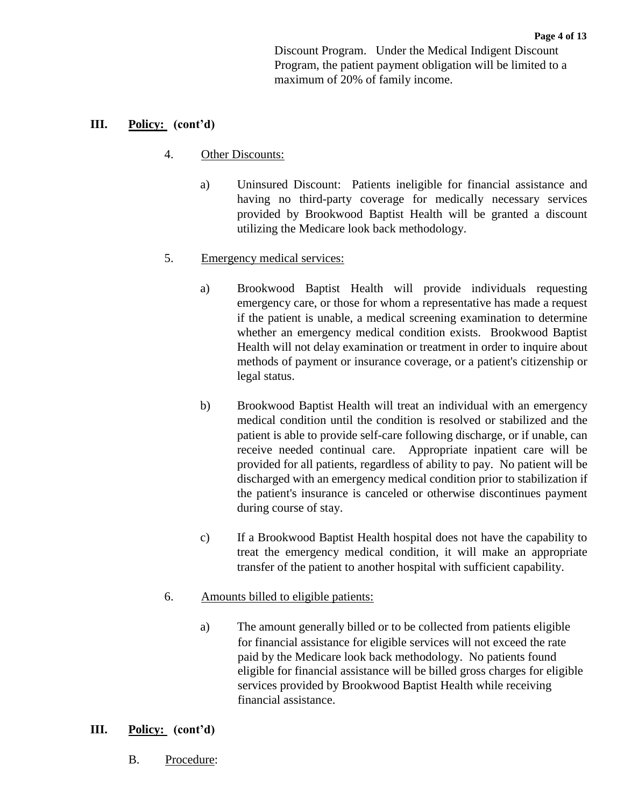**Page 4 of 13**  Discount Program. Under the Medical Indigent Discount Program, the patient payment obligation will be limited to a maximum of 20% of family income.

#### **III. Policy: (cont'd)**

#### 4. Other Discounts:

 a) Uninsured Discount: Patients ineligible for financial assistance and having no third-party coverage for medically necessary services provided by Brookwood Baptist Health will be granted a discount utilizing the Medicare look back methodology.

#### 5. Emergency medical services:

- a) Brookwood Baptist Health will provide individuals requesting emergency care, or those for whom a representative has made a request methods of payment or insurance coverage, or a patient's citizenship or if the patient is unable, a medical screening examination to determine whether an emergency medical condition exists. Brookwood Baptist Health will not delay examination or treatment in order to inquire about legal status.
- patient is able to provide self-care following discharge, or if unable, can receive needed continual care. Appropriate inpatient care will be the patient's insurance is canceled or otherwise discontinues payment b) Brookwood Baptist Health will treat an individual with an emergency medical condition until the condition is resolved or stabilized and the provided for all patients, regardless of ability to pay. No patient will be discharged with an emergency medical condition prior to stabilization if during course of stay.
- c) If a Brookwood Baptist Health hospital does not have the capability to treat the emergency medical condition, it will make an appropriate transfer of the patient to another hospital with sufficient capability.

#### 6. Amounts billed to eligible patients:

a) The amount generally billed or to be collected from patients eligible for financial assistance for eligible services will not exceed the rate paid by the Medicare look back methodology. No patients found eligible for financial assistance will be billed gross charges for eligible services provided by Brookwood Baptist Health while receiving financial assistance.

#### **III. Policy: (cont'd)**

B. Procedure: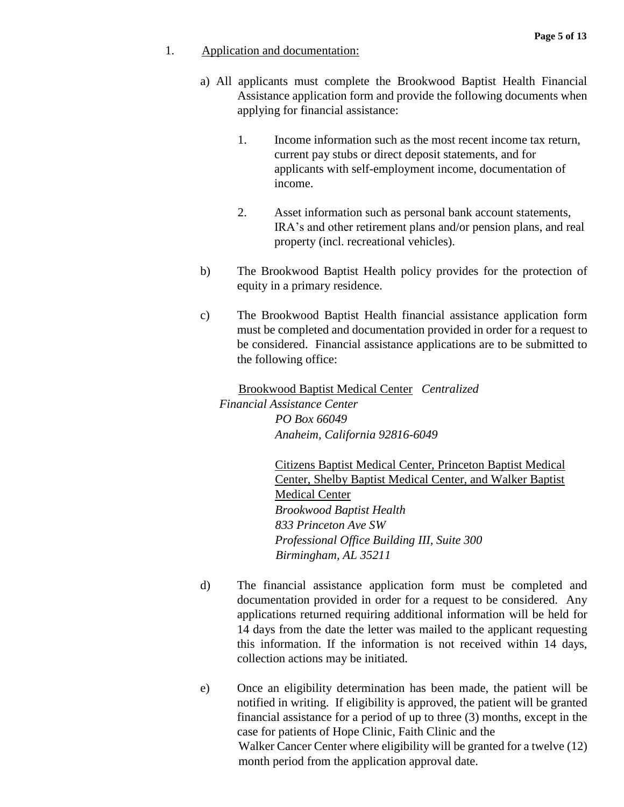#### 1. Application and documentation:

- a) All applicants must complete the Brookwood Baptist Health Financial Assistance application form and provide the following documents when applying for financial assistance:
	- 1. Income information such as the most recent income tax return, current pay stubs or direct deposit statements, and for applicants with self-employment income, documentation of income.
	- 2. Asset information such as personal bank account statements, IRA's and other retirement plans and/or pension plans, and real property (incl. recreational vehicles).
- b) The Brookwood Baptist Health policy provides for the protection of equity in a primary residence.
- must be completed and documentation provided in order for a request to be considered. Financial assistance applications are to be submitted to c) The Brookwood Baptist Health financial assistance application form the following office:

 Brookwood Baptist Medical Center *Centralized Financial Assistance Center PO Box 66049 Anaheim, California 92816-6049* 

> **Medical Center** Citizens Baptist Medical Center, Princeton Baptist Medical Center, Shelby Baptist Medical Center, and Walker Baptist *Brookwood Baptist Health 833 Princeton Ave SW Professional Office Building III, Suite 300 Birmingham, AL 35211*

- d) The financial assistance application form must be completed and documentation provided in order for a request to be considered. Any applications returned requiring additional information will be held for 14 days from the date the letter was mailed to the applicant requesting this information. If the information is not received within 14 days, collection actions may be initiated.
- e) Once an eligibility determination has been made, the patient will be financial assistance for a period of up to three (3) months, except in the Walker Cancer Center where eligibility will be granted for a twelve (12) notified in writing. If eligibility is approved, the patient will be granted case for patients of Hope Clinic, Faith Clinic and the month period from the application approval date.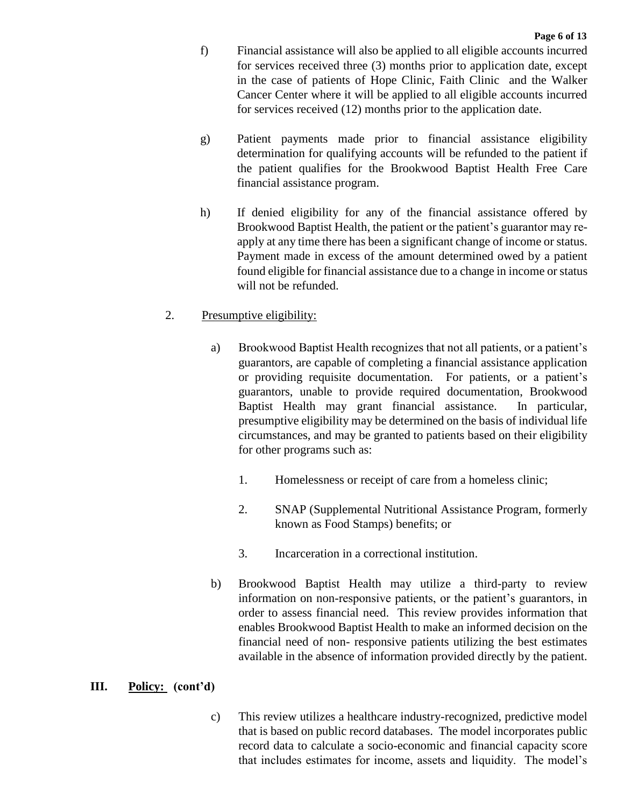- f) Financial assistance will also be applied to all eligible accounts incurred for services received three (3) months prior to application date, except Cancer Center where it will be applied to all eligible accounts incurred in the case of patients of Hope Clinic, Faith Clinic and the Walker for services received (12) months prior to the application date.
- g) Patient payments made prior to financial assistance eligibility determination for qualifying accounts will be refunded to the patient if the patient qualifies for the Brookwood Baptist Health Free Care financial assistance program.
- h) If denied eligibility for any of the financial assistance offered by apply at any time there has been a significant change of income or status. Payment made in excess of the amount determined owed by a patient found eligible for financial assistance due to a change in income or status Brookwood Baptist Health, the patient or the patient's guarantor may rewill not be refunded.

## 2. Presumptive eligibility:

- a) Brookwood Baptist Health recognizes that not all patients, or a patient's guarantors, are capable of completing a financial assistance application or providing requisite documentation. For patients, or a patient's presumptive eligibility may be determined on the basis of individual life circumstances, and may be granted to patients based on their eligibility guarantors, unable to provide required documentation, Brookwood Baptist Health may grant financial assistance. In particular, for other programs such as:
	- 1. Homelessness or receipt of care from a homeless clinic;
	- 2. SNAP (Supplemental Nutritional Assistance Program, formerly known as Food Stamps) benefits; or
	- 3. Incarceration in a correctional institution.
- b) Brookwood Baptist Health may utilize a third-party to review order to assess financial need. This review provides information that information on non-responsive patients, or the patient's guarantors, in enables Brookwood Baptist Health to make an informed decision on the financial need of non- responsive patients utilizing the best estimates available in the absence of information provided directly by the patient.

## **III. Policy: (cont'd)**

 c) This review utilizes a healthcare industry-recognized, predictive model that is based on public record databases. The model incorporates public record data to calculate a socio-economic and financial capacity score that includes estimates for income, assets and liquidity. The model's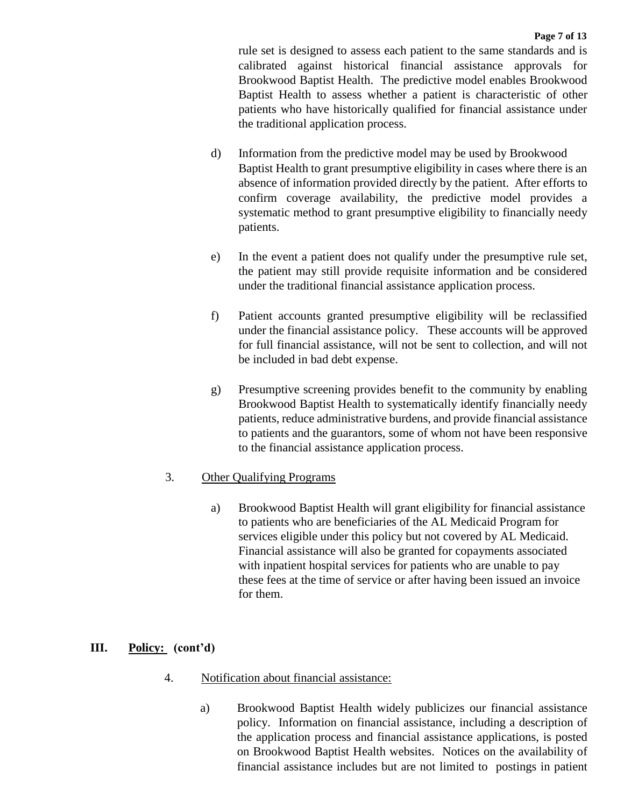Brookwood Baptist Health. The predictive model enables Brookwood Baptist Health to assess whether a patient is characteristic of other patients who have historically qualified for financial assistance under rule set is designed to assess each patient to the same standards and is calibrated against historical financial assistance approvals for the traditional application process.

- Baptist Health to grant presumptive eligibility in cases where there is an absence of information provided directly by the patient. After efforts to confirm coverage availability, the predictive model provides a systematic method to grant presumptive eligibility to financially needy d) Information from the predictive model may be used by Brookwood patients.
- e) In the event a patient does not qualify under the presumptive rule set, the patient may still provide requisite information and be considered under the traditional financial assistance application process.
- f) Patient accounts granted presumptive eligibility will be reclassified for full financial assistance, will not be sent to collection, and will not under the financial assistance policy. These accounts will be approved be included in bad debt expense.
- g) Presumptive screening provides benefit to the community by enabling Brookwood Baptist Health to systematically identify financially needy patients, reduce administrative burdens, and provide financial assistance to patients and the guarantors, some of whom not have been responsive to the financial assistance application process.

# 3. Other Qualifying Programs

a) Brookwood Baptist Health will grant eligibility for financial assistance to patients who are beneficiaries of the AL Medicaid Program for services eligible under this policy but not covered by AL Medicaid. Financial assistance will also be granted for copayments associated with inpatient hospital services for patients who are unable to pay these fees at the time of service or after having been issued an invoice for them.

# **III.** Policy: (cont'd)

- Notification about financial assistance:
- Brookwood Baptist Health widely publicizes our financial assistance 4. Notification about financial assistance:<br>
a) Brookwood Baptist Health widely publicizes our financial assistance<br>
policy. Information on financial assistance, including a description of the application process and financial assistance applications, is posted on Brookwood Baptist Health websites. Notices on the availability of on Brookwood Baptist Health websites. Notices on the availability of financial assistance includes but are not limited to postings in patient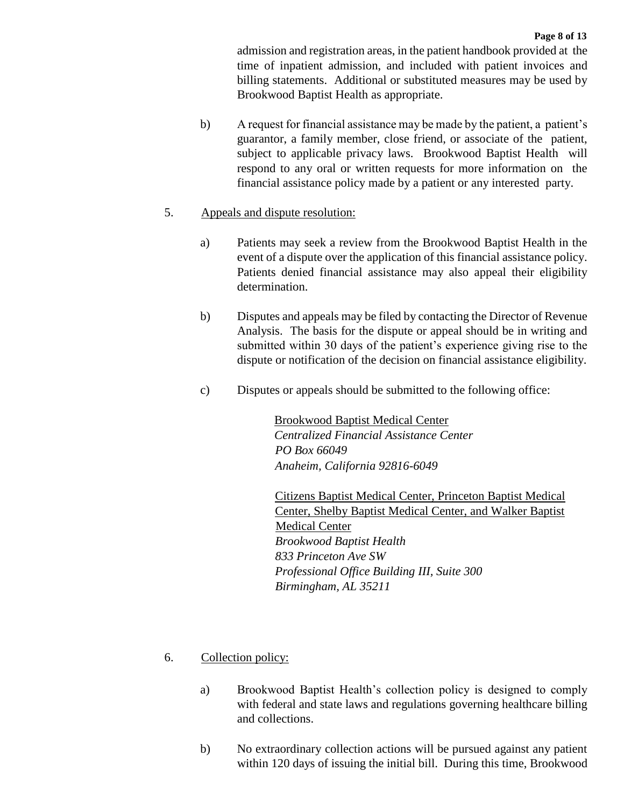admission and registration areas, in the patient handbook provided at the time of inpatient admission, and included with patient invoices and billing statements. Additional or substituted measures may be used by Brookwood Baptist Health as appropriate.

 b) A request for financial assistance may be made by the patient, a patient's guarantor, a family member, close friend, or associate of the patient, subject to applicable privacy laws. Brookwood Baptist Health will respond to any oral or written requests for more information on the financial assistance policy made by a patient or any interested party.

## 5. Appeals and dispute resolution:

- a) Patients may seek a review from the Brookwood Baptist Health in the event of a dispute over the application of this financial assistance policy. Patients denied financial assistance may also appeal their eligibility determination.
- b) Disputes and appeals may be filed by contacting the Director of Revenue Analysis. The basis for the dispute or appeal should be in writing and submitted within 30 days of the patient's experience giving rise to the dispute or notification of the decision on financial assistance eligibility.
- c) Disputes or appeals should be submitted to the following office:

 Brookwood Baptist Medical Center *Centralized Financial Assistance Center PO Box 66049 Anaheim, California 92816-6049* 

Medical Center Citizens Baptist Medical Center, Princeton Baptist Medical Center, Shelby Baptist Medical Center, and Walker Baptist *Brookwood Baptist Health 833 Princeton Ave SW Professional Office Building III, Suite 300 Birmingham, AL 35211* 

- Collection policy:
- 6. Collection policy:<br>
a) Brookwood Baptist Health's collection policy is designed to comply with federal and state laws and regulations governing healthcare billing and collections.
	- b) No extraordinary collection actions will be pursued against any patient within 120 days of issuing the initial bill. During this time, Brookwood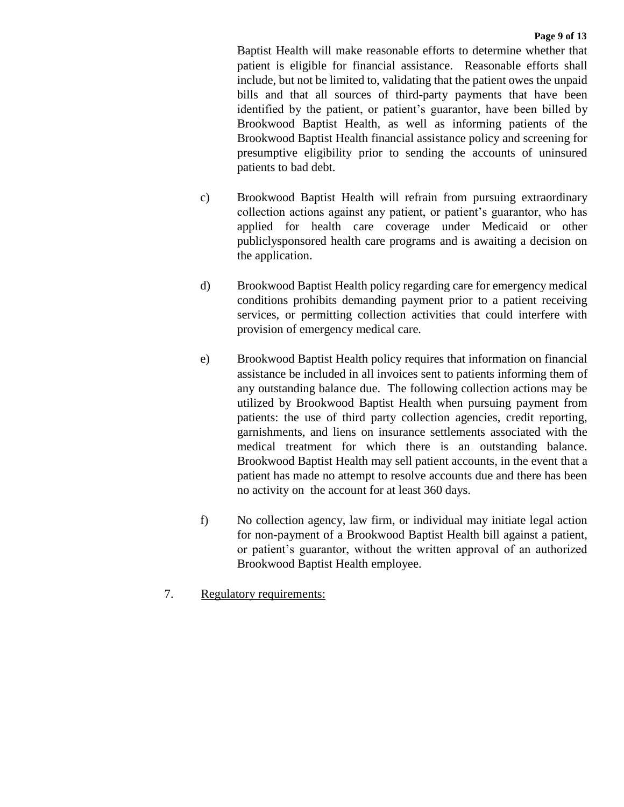Baptist Health will make reasonable efforts to determine whether that patient is eligible for financial assistance. Reasonable efforts shall identified by the patient, or patient's guarantor, have been billed by presumptive eligibility prior to sending the accounts of uninsured include, but not be limited to, validating that the patient owes the unpaid bills and that all sources of third-party payments that have been Brookwood Baptist Health, as well as informing patients of the Brookwood Baptist Health financial assistance policy and screening for patients to bad debt.

- applied for health care coverage under Medicaid or other publiclysponsored health care programs and is awaiting a decision on c) Brookwood Baptist Health will refrain from pursuing extraordinary collection actions against any patient, or patient's guarantor, who has the application.
- d) Brookwood Baptist Health policy regarding care for emergency medical conditions prohibits demanding payment prior to a patient receiving services, or permitting collection activities that could interfere with provision of emergency medical care.
- assistance be included in all invoices sent to patients informing them of any outstanding balance due. The following collection actions may be patients: the use of third party collection agencies, credit reporting, garnishments, and liens on insurance settlements associated with the patient has made no attempt to resolve accounts due and there has been e) Brookwood Baptist Health policy requires that information on financial utilized by Brookwood Baptist Health when pursuing payment from medical treatment for which there is an outstanding balance. Brookwood Baptist Health may sell patient accounts, in the event that a no activity on the account for at least 360 days.
- f) No collection agency, law firm, or individual may initiate legal action for non-payment of a Brookwood Baptist Health bill against a patient, or patient's guarantor, without the written approval of an authorized Brookwood Baptist Health employee.
- 7. Regulatory requirements: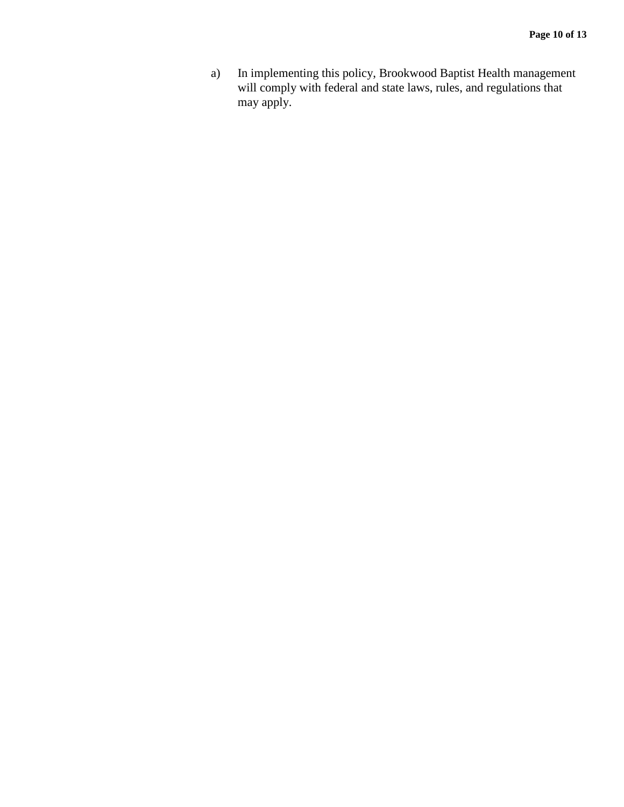$a)$ a) In implementing this policy, Brookwood Baptist Health management will comply with federal and state laws, rules, and regulations that may apply.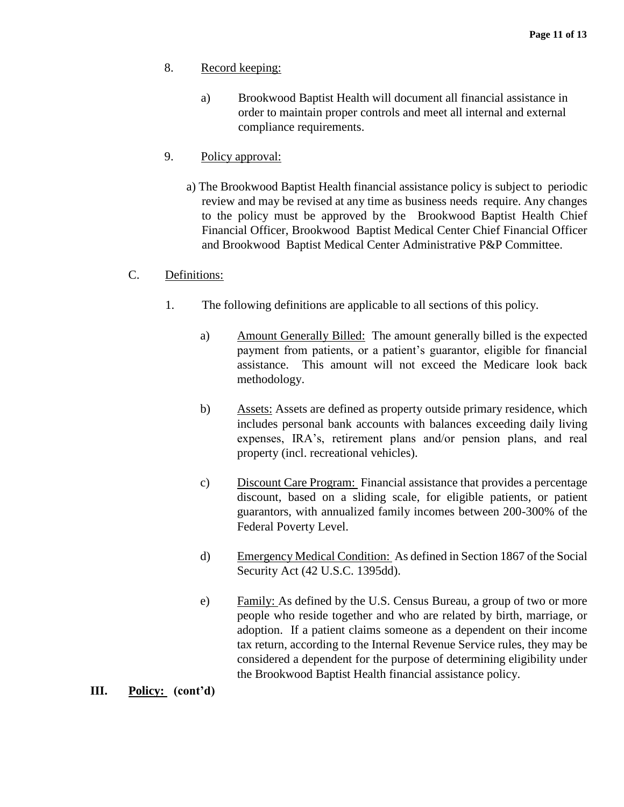- Record keeping:
- $a)$ 8. Record keeping:<br>
a) Brookwood Baptist Health will document all financial assistance in order to maintain proper controls and meet all internal and external compliance requirements.
- 9. Policy approval:
	- a) The Brookwood Baptist Health financial assistance policy is subject to periodic to the policy must be approved by the Brookwood Baptist Health Chief Financial Officer, Brookwood Baptist Medical Center Chief Financial Officer review and may be revised at any time as business needs require. Any changes and Brookwood Baptist Medical Center Administrative P&P Committee.
- $C_{\cdot}$ Definitions:
	- 1. The following definitions are applicable to all sections of this policy.
		- a) Amount Generally Billed: The amount generally billed is the expected payment from patients, or a patient's guarantor, eligible for financial assistance. This amount will not exceed the Medicare look back methodology.
		- includes personal bank accounts with balances exceeding daily living b) Assets: Assets are defined as property outside primary residence, which expenses, IRA's, retirement plans and/or pension plans, and real property (incl. recreational vehicles).
		- c) Discount Care Program: Financial assistance that provides a percentage discount, based on a sliding scale, for eligible patients, or patient guarantors, with annualized family incomes between 200-300% of the Federal Poverty Level.
		- d) Emergency Medical Condition: As defined in Section 1867 of the Social Security Act (42 U.S.C. 1395dd).
		- e) Eamily: As defined by the U.S. Census Bureau, a group of two or more people who reside together and who are related by birth, marriage, or adoption. If a patient claims someone as a dependent on their income tax return, according to the Internal Revenue Service rules, they may be considered a dependent for the purpose of determining eligibility under the Brookwood Baptist Health financial assistance policy.

#### **III.** Policy: (cont'd)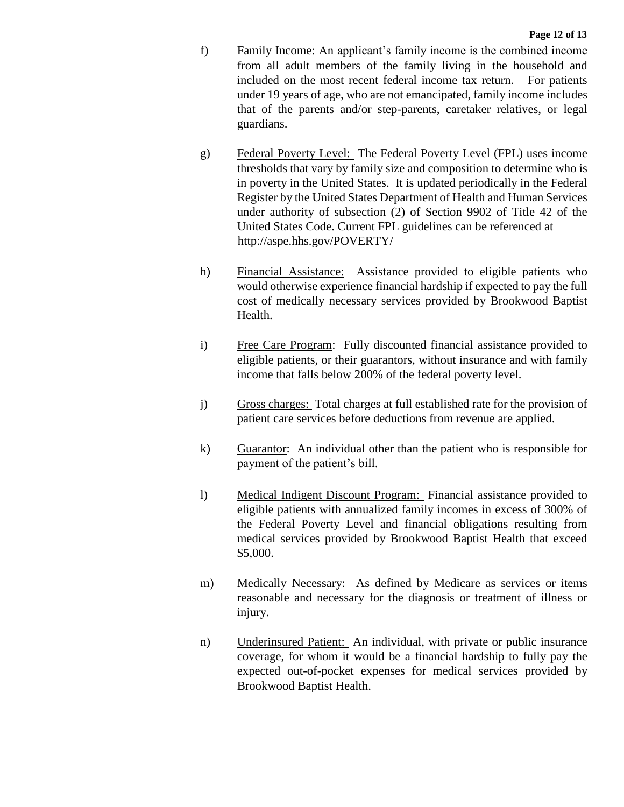- f) Family Income: An applicant's family income is the combined income from all adult members of the family living in the household and included on the most recent federal income tax return. For patients under 19 years of age, who are not emancipated, family income includes that of the parents and/or step-parents, caretaker relatives, or legal guardians.
- g) Federal Poverty Level: The Federal Poverty Level (FPL) uses income thresholds that vary by family size and composition to determine who is Register by the United States Department of Health and Human Services under authority of subsection (2) of Section 9902 of Title 42 of the in poverty in the United States. It is updated periodically in the Federal United States Code. Current FPL guidelines can be referenced at http://aspe.hhs.gov/POVERTY/
- h) Financial Assistance: Assistance provided to eligible patients who would otherwise experience financial hardship if expected to pay the full cost of medically necessary services provided by Brookwood Baptist Health.
- i) Free Care Program: Fully discounted financial assistance provided to eligible patients, or their guarantors, without insurance and with family income that falls below 200% of the federal poverty level.
- j) Gross charges: Total charges at full established rate for the provision of patient care services before deductions from revenue are applied.
- k) Guarantor: An individual other than the patient who is responsible for payment of the patient's bill.
- l) Medical Indigent Discount Program: Financial assistance provided to medical services provided by Brookwood Baptist Health that exceed eligible patients with annualized family incomes in excess of 300% of the Federal Poverty Level and financial obligations resulting from \$5,000.
- m) Medically Necessary: As defined by Medicare as services or items reasonable and necessary for the diagnosis or treatment of illness or injury.
- n) Underinsured Patient: An individual, with private or public insurance coverage, for whom it would be a financial hardship to fully pay the expected out-of-pocket expenses for medical services provided by Brookwood Baptist Health.